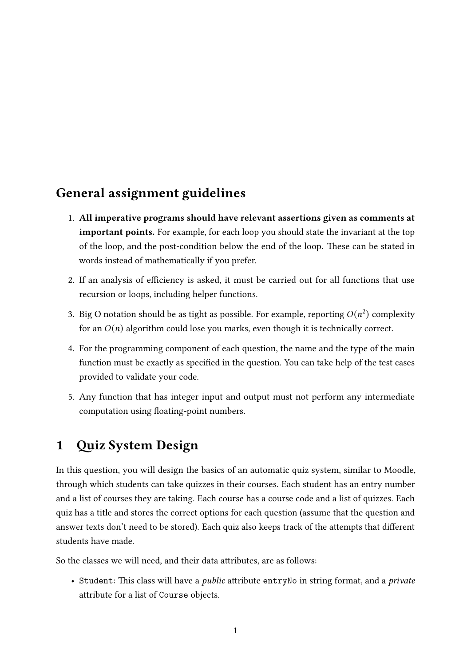## General assignment guidelines

- 1. All imperative programs should have relevant assertions given as comments at important points. For example, for each loop you should state the invariant at the top of the loop, and the post-condition below the end of the loop. These can be stated in words instead of mathematically if you prefer.
- 2. If an analysis of efficiency is asked, it must be carried out for all functions that use recursion or loops, including helper functions.
- 3. Big O notation should be as tight as possible. For example, reporting  $O(n^2)$  complexity for an  $O(n)$  algorithm could lose you marks, even though it is technically correct.
- 4. For the programming component of each question, the name and the type of the main function must be exactly as specified in the question. You can take help of the test cases provided to validate your code.
- 5. Any function that has integer input and output must not perform any intermediate computation using floating-point numbers.

## 1 Quiz System Design

In this question, you will design the basics of an automatic quiz system, similar to Moodle, through which students can take quizzes in their courses. Each student has an entry number and a list of courses they are taking. Each course has a course code and a list of quizzes. Each quiz has a title and stores the correct options for each question (assume that the question and answer texts don't need to be stored). Each quiz also keeps track of the attempts that different students have made.

So the classes we will need, and their data attributes, are as follows:

• Student: This class will have a *public* attribute entryNo in string format, and a *private* attribute for a list of Course objects.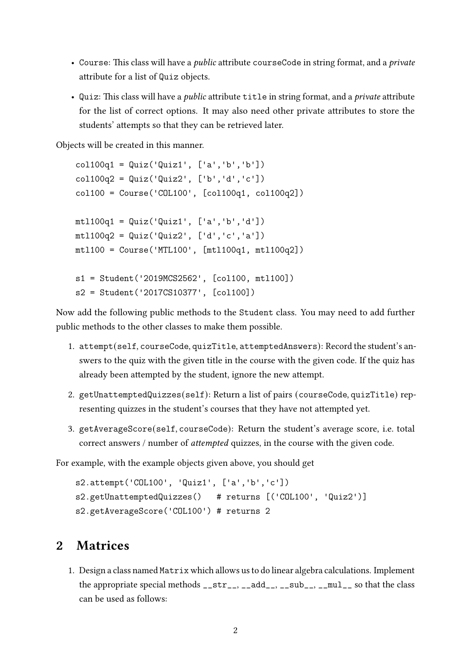- Course: This class will have a *public* attribute courseCode in string format, and a *private* attribute for a list of Quiz objects.
- Quiz: This class will have a *public* attribute title in string format, and a *private* attribute for the list of correct options. It may also need other private attributes to store the students' attempts so that they can be retrieved later.

Objects will be created in this manner.

```
col100q1 = Quiz('Quiz1', ['a', 'b', 'b'])col100q2 = Quiz('Quiz2', ['b', 'd', 'c'])col100 = Course('COL100', [col100q1, col100q2])
mt1100q1 = Quiz('Quiz1', ['a', 'b', 'd'])mtl100q2 = Quiz('Quiz2', ['d','c','a'])
mtl100 = Course('MTL100', [mtl100q1, mtl100q2])
s1 = Student('2019MCS2562', [col100, mtl100])
s2 = Student('2017CS10377', [col100])
```
Now add the following public methods to the Student class. You may need to add further public methods to the other classes to make them possible.

- 1. attempt(self, courseCode, quizTitle, attemptedAnswers): Record the student's answers to the quiz with the given title in the course with the given code. If the quiz has already been attempted by the student, ignore the new attempt.
- 2. getUnattemptedQuizzes(self): Return a list of pairs (courseCode, quizTitle) representing quizzes in the student's courses that they have not attempted yet.
- 3. getAverageScore(self, courseCode): Return the student's average score, i.e. total correct answers / number of attempted quizzes, in the course with the given code.

For example, with the example objects given above, you should get

```
s2.attempt('COL100', 'Quiz1', ['a','b','c'])
s2.getUnattemptedQuizzes() # returns [('COL100', 'Quiz2')]
s2.getAverageScore('COL100') # returns 2
```
## 2 Matrices

1. Design a class named Matrix which allows us to do linear algebra calculations. Implement the appropriate special methods  ${\_}str_-, {\_}add_-, {\_}sub_-, {\_}mul_$  so that the class can be used as follows: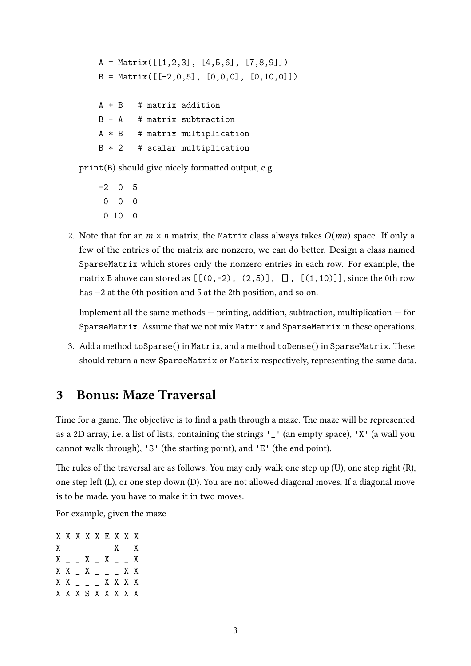```
A = Matrix([1, 2, 3], [4, 5, 6], [7, 8, 9])B = Matrix([[-2, 0, 5], [0, 0, 0], [0, 10, 0]])A + B # matrix addition
B - A # matrix subtraction
A * B # matrix multiplication
B * 2 # scalar multiplication
```
 $print(B)$  should give nicely formatted output, e.g.

- $-2 \quad 0 \quad 5$ 0 0 0 0 10 0
- 2. Note that for an  $m \times n$  matrix, the Matrix class always takes  $O(mn)$  space. If only a few of the entries of the matrix are nonzero, we can do better. Design a class named SparseMatrix which stores only the nonzero entries in each row. For example, the matrix B above can stored as  $[[(0,-2), (2,5)], [[1,10)]]$ , since the 0th row has −2 at the 0th position and 5 at the 2th position, and so on.

Implement all the same methods  $-$  printing, addition, subtraction, multiplication  $-$  for SparseMatrix. Assume that we not mix Matrix and SparseMatrix in these operations.

3. Add a method  $\text{toSparse}()$  in Matrix, and a method  $\text{toDense}()$  in SparseMatrix. These should return a new SparseMatrix or Matrix respectively, representing the same data.

## 3 Bonus: Maze Traversal

Time for a game. The objective is to find a path through a maze. The maze will be represented as a 2D array, i.e. a list of lists, containing the strings '\_' (an empty space), 'X' (a wall you cannot walk through), 'S' (the starting point), and 'E' (the end point).

The rules of the traversal are as follows. You may only walk one step up  $(U)$ , one step right  $(R)$ , one step left (L), or one step down (D). You are not allowed diagonal moves. If a diagonal move is to be made, you have to make it in two moves.

For example, given the maze

X X X X X E X X X  $X = - - - - X - X$  $X =$   $X =$   $X =$   $X =$  $X$   $X$   $X$   $X$   $X$   $X$ X X \_ \_ \_ X X X X X X X S X X X X X